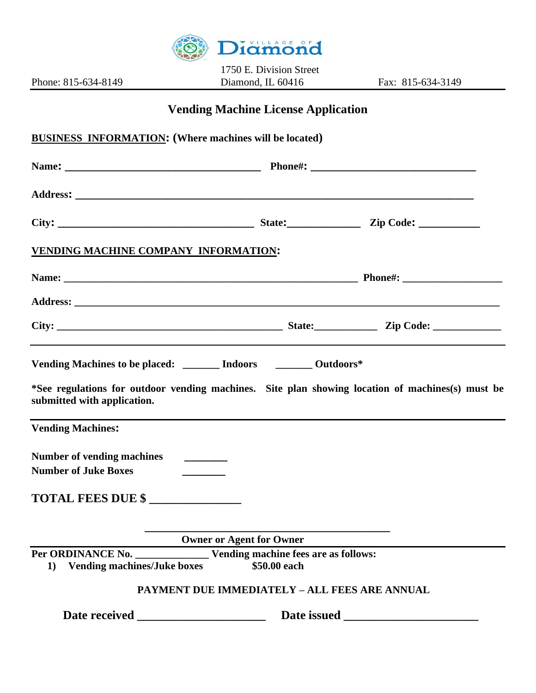

1750 E. Division Street Phone: 815-634-8149 Diamond, IL 60416 Fax: 815-634-3149

## **Vending Machine License Application**

|                                                                                                                                                                                                    | <b>BUSINESS INFORMATION:</b> (Where machines will be located) |  |
|----------------------------------------------------------------------------------------------------------------------------------------------------------------------------------------------------|---------------------------------------------------------------|--|
|                                                                                                                                                                                                    |                                                               |  |
|                                                                                                                                                                                                    |                                                               |  |
|                                                                                                                                                                                                    |                                                               |  |
| VENDING MACHINE COMPANY INFORMATION:                                                                                                                                                               |                                                               |  |
|                                                                                                                                                                                                    |                                                               |  |
|                                                                                                                                                                                                    |                                                               |  |
|                                                                                                                                                                                                    |                                                               |  |
| Vending Machines to be placed: ______ Indoors _______ Outdoors*<br>*See regulations for outdoor vending machines. Site plan showing location of machines(s) must be<br>submitted with application. |                                                               |  |
|                                                                                                                                                                                                    |                                                               |  |
| <b>Vending Machines:</b><br>Number of vending machines ________<br><b>Number of Juke Boxes</b>                                                                                                     |                                                               |  |
| TOTAL FEES DUE \$                                                                                                                                                                                  |                                                               |  |
|                                                                                                                                                                                                    | <b>Owner or Agent for Owner</b>                               |  |
| 1) Vending machines/Juke boxes                                                                                                                                                                     | \$50.00 each                                                  |  |
|                                                                                                                                                                                                    | <b>PAYMENT DUE IMMEDIATELY - ALL FEES ARE ANNUAL</b>          |  |